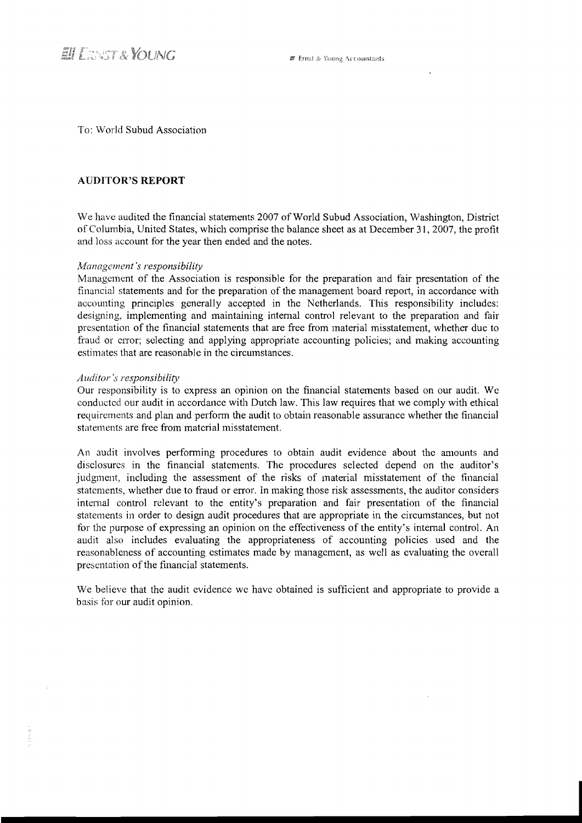To: World Subud Association

# **AUDITOR'S REPORT**

We have audited the financial statements 2007 of World Subud Association, Washington, District of Columbia, United States, which comprise the balance sheet as at December 3 1,2007, the profit and loss account for the year then ended and the notes.

## *Management's responsibility*

Management of the Association is responsible for the preparation and fair presentation of the financial statements and for the preparation of the management board report, in accordance with accounting principles generally accepted in the Netherlands. This responsibility includes: designing. implementing and maintaining internal control relevant to the preparation and fair presentation of the financial statements that are free from material misstatement, whether due to fraud or crror; selecting and applying appropriate accounting policies; and making accounting estimates that are reasonable in the circumstances.

## *A zl(/itol-* 's *responsibility*

Our responsibility is to express an opinion on the financial statements based on our audit. We conducted our audit in accordance with Dutch law. This law requires that we comply with ethical recjuirements and plan and perfom the audit to obtain reasonable assurance whether the financial statements are free from material misstatement.

An audit involves performing procedures to obtain audit evidence about the amounts and disclosures in the financial statements. The procedures selected depend on the auditor's judgment, including the assessment of the risks of material misstatement of the financial statements, whether due to fraud or error. In making those risk asscssmcnts, thc auditor considers internal control relevant to the entity's preparation and fair presentation of the financial statemcnts in order to design audit procedures that are appropriate in the circumstances, but not for the purpose of expressing an opinion on the effectiveness of the entity's internal control. An audit also includes evaluating the appropriateness of accounting policies used and the reasonableness of accounting estimates made by managcmcnt, as well as evaluating the overall presentation of the financial statements.

We believe that the audit evidence we have obtained is sufficient and appropriate to provide a basis for our audit opinion.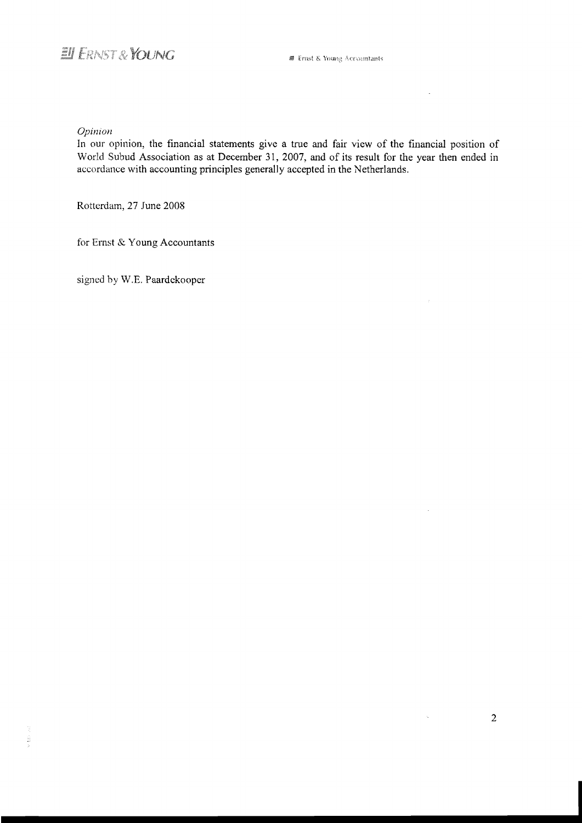■ Ernst & Young Accountants

 $\ddot{\phantom{a}}$ 

## *Opinion*

In our opinion, the financial statements give a true and fair view of the financial position of World Subud Association as at December 31, 2007, and of its result for the year then ended in accordance with accounting principles generally accepted in the Netherlands.

Rotterdam, 27 June 2008

for Ernst **Sr** Young Accountants

signed by W.E. Paardekooper

 $\bar{u}$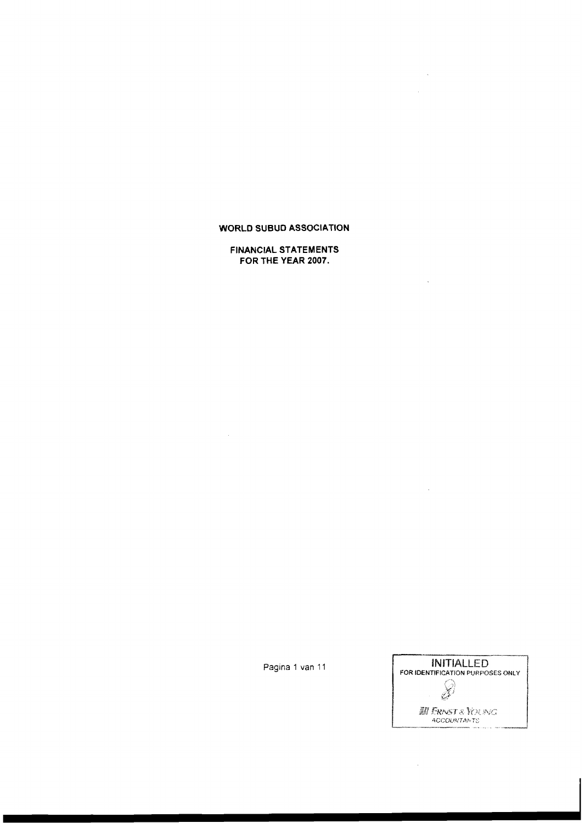**FINANCIAL STATEMENTS** FOR THE YEAR 2007.

Pagina 1 van 11



 $\sim 10^{11}$ 

 $\mathcal{L}(\mathcal{A})$  and  $\mathcal{L}(\mathcal{A})$ 

 $\mathcal{A}^{\mathcal{A}}$ 

 $\mathcal{A}^{\mathcal{A}}$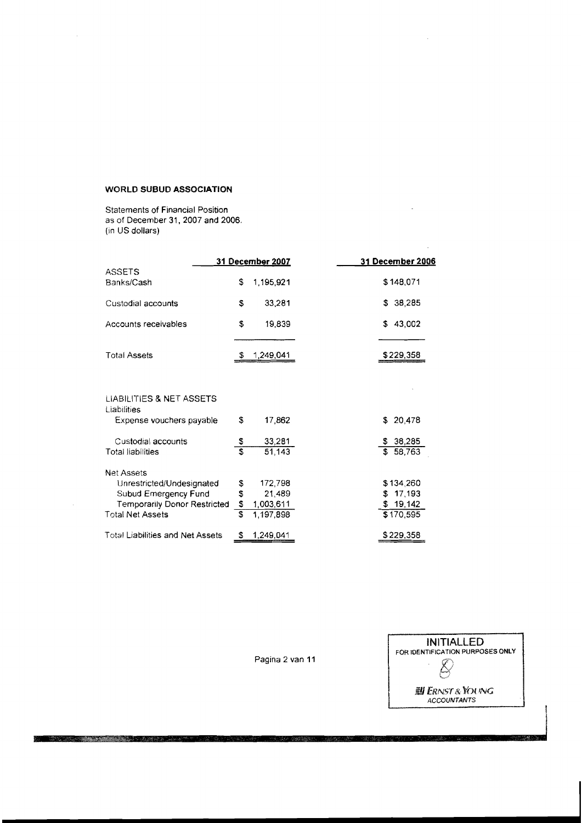Statements of Financial Position as of December 31,2007 and 2006. (in US dollars)

 $\mathcal{A}^{\mathcal{A}}$ 

**SERVICE STRAKE STRAKE STRAKE STRAKE STRAKE STRAKE STRAKE STRAKE** 

|                                                                                                                                          |                               | 31 December 2007                            | 31 December 2006                                  |
|------------------------------------------------------------------------------------------------------------------------------------------|-------------------------------|---------------------------------------------|---------------------------------------------------|
| <b>ASSETS</b><br>Banks/Cash                                                                                                              | \$                            | 1,195,921                                   | \$148,071                                         |
| Custodial accounts                                                                                                                       | S                             | 33,281                                      | 38,285<br>\$.                                     |
| Accounts receivables                                                                                                                     | \$                            | 19,839                                      | 43,002<br>\$.                                     |
| <b>Total Assets</b>                                                                                                                      | S                             | 1,249,041                                   | \$229,358                                         |
| LIABILITIES & NET ASSETS<br>Liabilities<br>Expense vouchers payable                                                                      | S                             | 17,862                                      | 20,478<br>S.                                      |
| Custodial accounts<br><b>Total liabilities</b>                                                                                           | \$<br>$\overline{\mathbf{s}}$ | 33,281<br>51,143                            | 38,285<br>\$<br>$\overline{\mathbf{s}}$<br>58,763 |
| <b>Net Assets</b><br>Unrestricted/Undesignated<br>Subud Emergency Fund<br><b>Temporarily Donor Restricted</b><br><b>Total Net Assets</b> | \$<br>\$<br>\$<br>3           | 172,798<br>21,489<br>1,003,611<br>1,197,898 | \$134,260<br>\$17,193<br>\$19,142<br>\$170,595    |
| <b>Total Liabilities and Net Assets</b>                                                                                                  | \$                            | 1,249,041                                   | \$229,358                                         |

INITIALLED FOR IDENTIFICATION PURPOSES ONLY  $\mathcal{L}$ **EU ERNST & YOUNG** 

 $\mathcal{A}^{\mathcal{A}}$ 

 $\hat{\boldsymbol{\epsilon}}$ 

 $\ddot{\phantom{a}}$ 

Pagina 2 van 11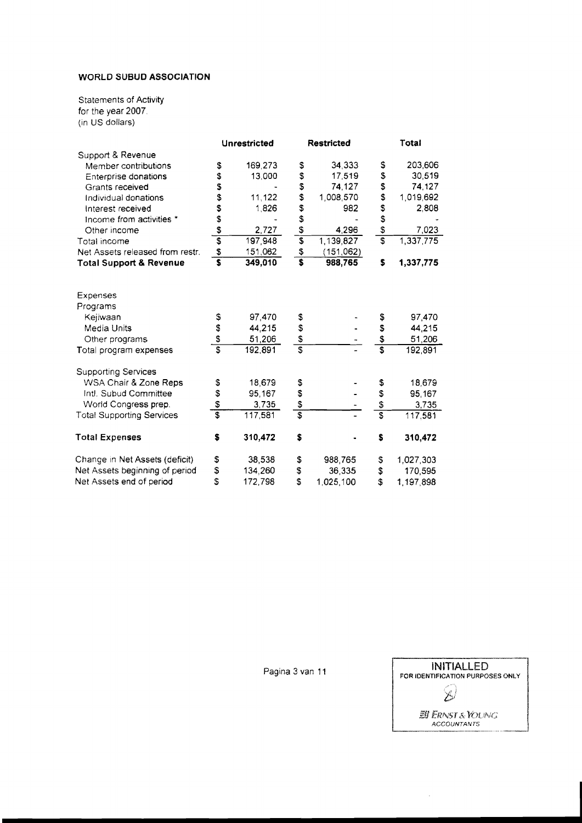Statements of Activity for the year 2007. (in US dollars)

|                                    |               | <b>Unrestricted</b> |                             | <b>Restricted</b> |               | Total     |
|------------------------------------|---------------|---------------------|-----------------------------|-------------------|---------------|-----------|
| Support & Revenue                  |               |                     |                             |                   |               |           |
| Member contributions               | \$            | 169,273             | \$                          | 34,333            | \$            | 203,606   |
| Enterprise donations               | \$            | 13,000              | \$                          | 17,519            | \$            | 30,519    |
| Grants received                    | \$            |                     | \$                          | 74,127            | \$            | 74,127    |
| Individual donations               | \$            | 11,122              | \$                          | 1,008,570         | \$            | 1,019,692 |
| Interest received                  |               | 1,826               | \$                          | 982               |               | 2,808     |
| Income from activities *           |               |                     | ś                           |                   | \$<br>\$      |           |
| Other income                       | $\frac{1}{2}$ | 2,727               | \$                          | 4,296             | $rac{s}{s}$   | 7,023     |
| Total income                       |               | 197,948             |                             | 1,139,827         |               | 1,337,775 |
| Net Assets released from restr.    | \$            | 151,062             | \$                          | (151,062)         |               |           |
| <b>Total Support &amp; Revenue</b> |               | 349,010             | $\overline{\boldsymbol{s}}$ | 988,765           | \$            | 1,337,775 |
| Expenses                           |               |                     |                             |                   |               |           |
| Programs                           |               |                     |                             |                   |               |           |
| Kejiwaan                           |               | 97,470              | \$                          |                   | \$            | 97,470    |
| Media Units                        | \$            | 44,215              | \$                          |                   |               | 44,215    |
| Other programs                     | \$            | 51,206              | \$                          |                   | S<br>S<br>S   | 51,206    |
| Total program expenses             |               | 192,891             | $\overline{s}$              |                   |               | 192,891   |
| <b>Supporting Services</b>         |               |                     |                             |                   |               |           |
| WSA Chair & Zone Reps              | \$            | 18,679              | \$                          |                   | \$            | 18,679    |
| Intl. Subud Committee              | \$            | 95,167              | \$                          |                   | \$            | 95,167    |
| World Congress prep.               | S             | 3,735               | $\frac{3}{3}$               |                   | $\frac{3}{5}$ | 3,735     |
| <b>Total Supporting Services</b>   |               | 117,581             |                             |                   |               | 117,581   |
| <b>Total Expenses</b>              | \$            | 310,472             | \$                          |                   | \$            | 310,472   |
| Change in Net Assets (deficit)     | \$            | 38,538              | \$                          | 988,765           | \$            | 1,027,303 |
| Net Assets beginning of period     | \$            | 134,260             | \$                          | 36,335            | \$            | 170,595   |
| Net Assets end of period           | \$            | 172,798             | \$                          | 1,025,100         | Ś             | 1,197,898 |

Pagina 3 van 11 **FOR IDENTIFICATION PURPOSES ONLY**  $\hat{\mathcal{D}}$ **EU ERNST & YOUNG** 

 $\zeta$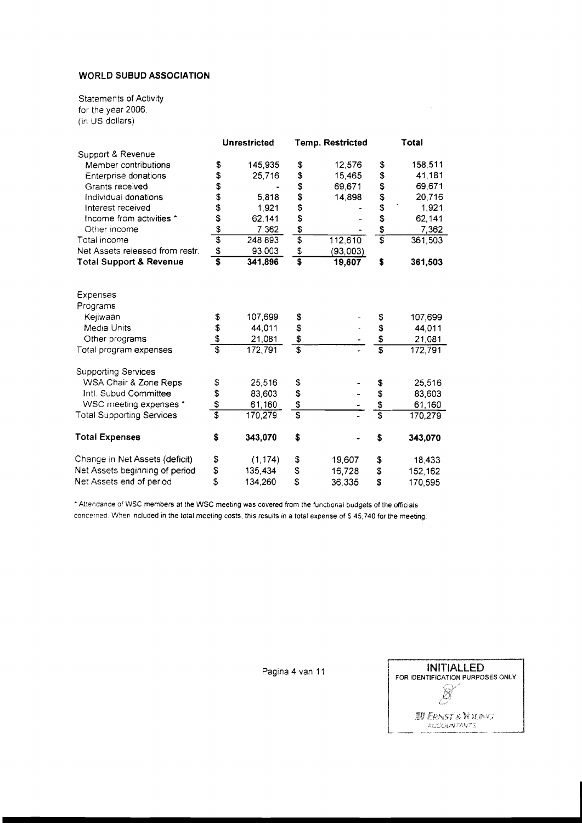Statements of Activity for the year 2006. (in US dollars)

|                                    |               | <b>Unrestricted</b> |                                      | <b>Temp. Restricted</b> |                         | Total   |
|------------------------------------|---------------|---------------------|--------------------------------------|-------------------------|-------------------------|---------|
| Support & Revenue                  |               |                     |                                      |                         |                         |         |
| Member contributions               | \$            | 145,935             | \$                                   | 12,576                  | \$                      | 158,511 |
| Enterprise donations               | \$            | 25,716              | \$                                   | 15,465                  | \$                      | 41,181  |
| Grants received                    | \$            |                     | \$                                   | 69,671                  | \$                      | 69,671  |
| Individual donations               | \$            | 5,818               | \$                                   | 14,898                  |                         | 20,716  |
| Interest received                  |               | 1,921               |                                      |                         | \$                      | 1,921   |
| Income from activities *           |               | 62,141              | \$<br>\$                             |                         | \$                      | 62,141  |
| Other income                       | $\frac{1}{2}$ | 7.362               | \$                                   |                         | \$                      | 7,362   |
| Total income                       |               | 248,893             | $\overline{\boldsymbol{\mathsf{s}}}$ | 112,610                 | $\overline{\mathbf{s}}$ | 361,503 |
| Net Assets released from restr.    | $\frac{3}{5}$ | 93,003              | \$                                   | (93,003)                |                         |         |
| <b>Total Support &amp; Revenue</b> |               | 341,896             | 5                                    | 19,607                  | \$                      | 361,503 |
| Expenses                           |               |                     |                                      |                         |                         |         |
| Programs                           |               |                     |                                      |                         |                         |         |
| Kejiwaan                           |               | 107,699             | \$                                   |                         | \$                      | 107,699 |
| Media Units                        |               | 44,011              | \$                                   |                         | \$                      | 44.011  |
| Other programs                     | မှ မှ မှ မ    | 21,081              | $rac{1}{3}$                          |                         | \$                      | 21,081  |
| Total program expenses             |               | 172,791             |                                      |                         | $\overline{s}$          | 172,791 |
| <b>Supporting Services</b>         |               |                     |                                      |                         |                         |         |
| WSA Chair & Zone Reps              |               | 25,516              | \$                                   |                         | \$                      | 25,516  |
| Intl. Subud Committee              |               | 83,603              | \$                                   |                         | \$                      | 83,603  |
| WSC meeting expenses *             | မှ မှ မှ မ    | 61,160              | \$                                   |                         | $\frac{3}{3}$           | 61,160  |
| <b>Total Supporting Services</b>   |               | 170,279             |                                      |                         |                         | 170,279 |
| <b>Total Expenses</b>              | \$            | 343,070             | \$                                   |                         | \$                      | 343,070 |
| Change in Net Assets (deficit)     | \$            | (1, 174)            | \$                                   | 19,607                  | \$                      | 18,433  |
| Net Assets beginning of period     | \$            | 135,434             | \$                                   | 16,728                  | \$                      | 152,162 |
| Net Assets end of period           | ś             | 134,260             | \$                                   | 36,335                  | \$                      | 170,595 |

\* Attendance of WSC members at the WSC meeting was covered from the functional budgets of the officials concerned. When included in the total meeting costs, this results in a total expense of \$45,740 for the meeting.

Pagina 4 van 11

INITIALLED  $\begin{picture}(20,20) \put(0,0){\line(1,0){10}} \put(15,0){\line(1,0){10}} \put(15,0){\line(1,0){10}} \put(15,0){\line(1,0){10}} \put(15,0){\line(1,0){10}} \put(15,0){\line(1,0){10}} \put(15,0){\line(1,0){10}} \put(15,0){\line(1,0){10}} \put(15,0){\line(1,0){10}} \put(15,0){\line(1,0){10}} \put(15,0){\line(1,0){10}} \put(15,0){\line(1$ EU ERNST & VOLIDIG

 $\bar{\zeta}$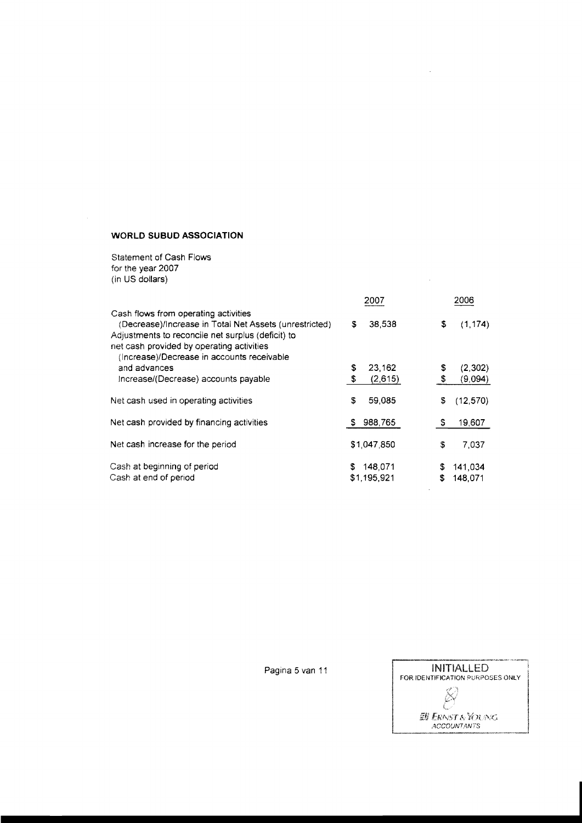| <b>Statement of Cash Flows</b><br>for the year 2007<br>(in US dollars)                                                                                                                                                                         |                               |                                |
|------------------------------------------------------------------------------------------------------------------------------------------------------------------------------------------------------------------------------------------------|-------------------------------|--------------------------------|
|                                                                                                                                                                                                                                                | 2007                          | 2006                           |
| Cash flows from operating activities<br>(Decrease)/Increase in Total Net Assets (unrestricted)<br>Adjustments to reconcile net surplus (deficit) to<br>net cash provided by operating activities<br>(Increase)/Decrease in accounts receivable | 38,538<br>S                   | \$<br>(1, 174)                 |
| and advances<br>Increase/(Decrease) accounts payable                                                                                                                                                                                           | \$<br>23,162<br>\$<br>(2,615) | (2,302)<br>\$<br>\$<br>(9,094) |
| Net cash used in operating activities                                                                                                                                                                                                          | S<br>59,085                   | \$<br>(12, 570)                |
| Net cash provided by financing activities                                                                                                                                                                                                      | 988,765<br>5                  | \$<br>19,607                   |
| Net cash increase for the period                                                                                                                                                                                                               | \$1,047,850                   | \$<br>7,037                    |
| Cash at beginning of period<br>Cash at end of period                                                                                                                                                                                           | \$148,071<br>\$1,195,921      | 141,034<br>\$<br>\$<br>148,071 |

Pagina 5 van 11

 $\overline{D}$  ...  $\mathsf{POSES}$  ONLY  $\begin{bmatrix} \phantom{\mathsf{T}} \end{bmatrix}$ FICATION EU ERNST & YOUNG

 $\sim$ 

 $\bar{z}$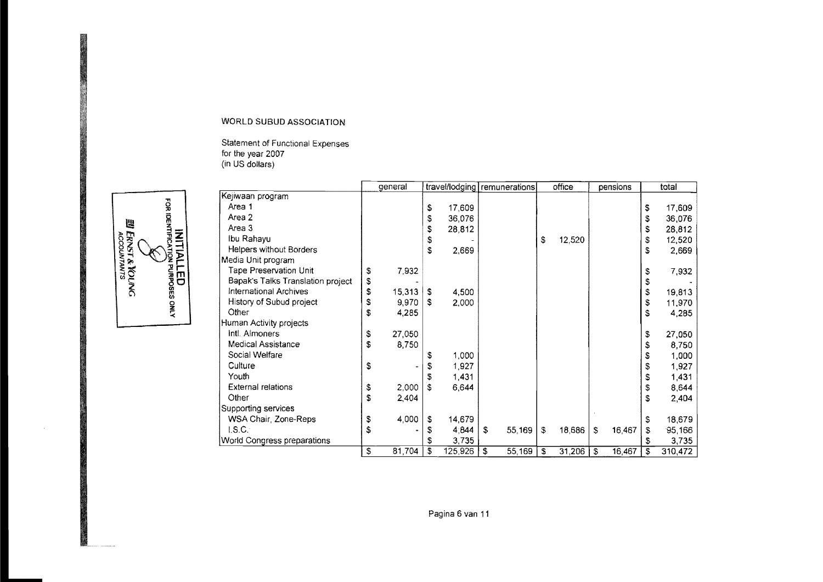#### Statement of Functional Expenses for the year 2007 (in US dollars)



. -

|                                    |    | general |    |         | travel/lodging remunerations |    | office |    | pensions |    | total   |
|------------------------------------|----|---------|----|---------|------------------------------|----|--------|----|----------|----|---------|
| Kejiwaan program                   |    |         |    |         |                              |    |        |    |          |    |         |
| Area 1                             |    |         | \$ | 17,609  |                              |    |        |    |          | \$ | 17,609  |
| Area 2                             |    |         | \$ | 36,076  |                              |    |        |    |          | S  | 36,076  |
| Area 3                             |    |         | \$ | 28,812  |                              |    |        |    |          | s  | 28,812  |
| Ibu Rahayu                         |    |         | \$ |         |                              | \$ | 12,520 |    |          | \$ | 12,520  |
| Helpers without Borders            |    |         | \$ | 2,669   |                              |    |        |    |          | S  | 2,669   |
| Media Unit program                 |    |         |    |         |                              |    |        |    |          |    |         |
| Tape Preservation Unit             | \$ | 7,932   |    |         |                              |    |        |    |          | \$ | 7,932   |
| Bapak's Talks Translation project  | \$ |         |    |         |                              |    |        |    |          | \$ |         |
| International Archives             | \$ | 15,313  | -S | 4,500   |                              |    |        |    |          | \$ | 19,813  |
| History of Subud project           | S  | 9,970   | Ŝ. | 2,000   |                              |    |        |    |          | S  | 11,970  |
| Other                              | \$ | 4,285   |    |         |                              |    |        |    |          | \$ | 4,285   |
| <b>Human Activity projects</b>     |    |         |    |         |                              |    |        |    |          |    |         |
| Intl. Almoners                     | \$ | 27,050  |    |         |                              |    |        |    |          | \$ | 27,050  |
| Medical Assistance                 | S  | 8,750   |    |         |                              |    |        |    |          |    | 8,750   |
| Social Welfare                     |    |         | S  | 1,000   |                              |    |        |    |          | S  | 1,000   |
| Culture                            | \$ |         | S  | 1,927   |                              |    |        |    |          |    | 1,927   |
| Youth                              |    |         | \$ | 1,431   |                              |    |        |    |          |    | 1,431   |
| <b>External relations</b>          | \$ | 2,000   | \$ | 6,644   |                              |    |        |    |          | \$ | 8,644   |
| Other                              | £  | 2,404   |    |         |                              |    |        |    |          | S  | 2,404   |
| Supporting services                |    |         |    |         |                              |    |        |    |          |    |         |
| WSA Chair, Zone-Reps               | \$ | 4,000   | \$ | 14,679  |                              |    |        |    |          | \$ | 18,679  |
| LS.C.                              | \$ |         | S  | 4,844   | \$<br>55,169                 | \$ | 18,686 | S  | 16,467   | \$ | 95,166  |
| <b>Norld Congress preparations</b> |    |         | \$ | 3,735   |                              |    |        |    |          | \$ | 3,735   |
|                                    | \$ | 81,704  | \$ | 125,926 | 55 169<br>\$                 | £  | 31,206 | \$ | 16,467   | S  | 310,472 |

Pagina 6 van 11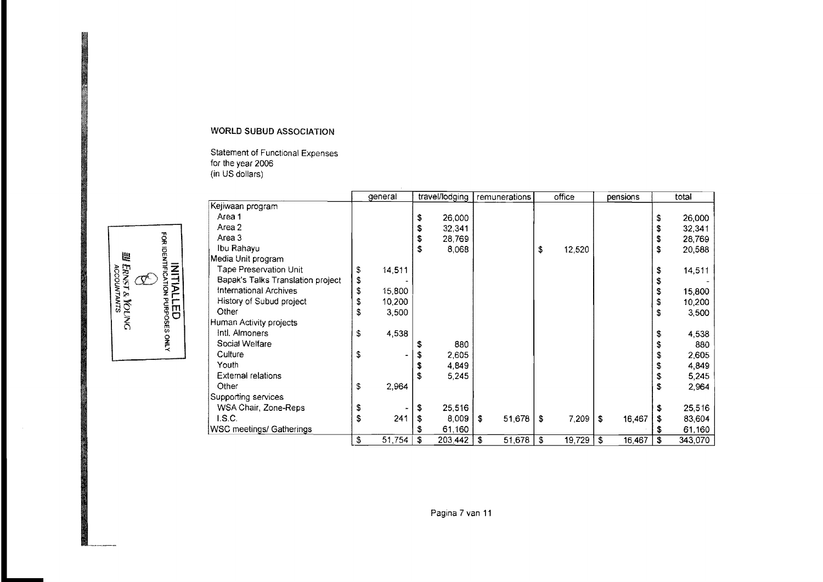Statement of Functional Expenses<br>for the year 2006<br>(in US dollars)

 $\Gamma$ 

| <b>ERNST &amp; YOUNG</b><br><b>ACCOUNTANTS</b> | FOR IDENTIFICATION PURPOSES ONLY<br><b>INITALLED</b> |  |
|------------------------------------------------|------------------------------------------------------|--|
|                                                |                                                      |  |

|                                   |     | general |    | travel/lodging |     | remunerations | office       |     | pensions |    | total   |
|-----------------------------------|-----|---------|----|----------------|-----|---------------|--------------|-----|----------|----|---------|
| Kejiwaan program                  |     |         |    |                |     |               |              |     |          |    |         |
| Area 1                            |     |         | \$ | 26,000         |     |               |              |     |          | \$ | 26,000  |
| Area 2                            |     |         | S  | 32,341         |     |               |              |     |          | \$ | 32,341  |
| Area 3                            |     |         | S  | 28,769         |     |               |              |     |          | \$ | 28,769  |
| Ibu Rahayu                        |     |         | S  | 8,068          |     |               | \$<br>12,520 |     |          | \$ | 20,588  |
| Media Unit program                |     |         |    |                |     |               |              |     |          |    |         |
| Tape Preservation Unit            | \$  | 14,511  |    |                |     |               |              |     |          | \$ | 14,511  |
| Bapak's Talks Translation project | \$  |         |    |                |     |               |              |     |          | \$ |         |
| International Archives            | \$  | 15,800  |    |                |     |               |              |     |          | \$ | 15,800  |
| History of Subud project          | \$  | 10,200  |    |                |     |               |              |     |          | \$ | 10,200  |
| Other                             | \$  | 3,500   |    |                |     |               |              |     |          | \$ | 3,500   |
| Human Activity projects           |     |         |    |                |     |               |              |     |          |    |         |
| Intl. Almoners                    | \$  | 4,538   |    |                |     |               |              |     |          | \$ | 4,538   |
| Social Welfare                    |     |         | S  | 880            |     |               |              |     |          | \$ | 880     |
| Culture                           | \$  |         |    | 2,605          |     |               |              |     |          | \$ | 2,605   |
| Youth                             |     |         |    | 4,849          |     |               |              |     |          | \$ | 4,849   |
| External relations                |     |         | \$ | 5,245          |     |               |              |     |          | \$ | 5,245   |
| Other                             | \$  | 2,964   |    |                |     |               |              |     |          | \$ | 2,964   |
| Supporting services.              |     |         |    |                |     |               |              |     |          |    |         |
| WSA Chair, Zone-Reps              | \$  |         |    | 25,516         |     |               |              |     |          | \$ | 25,516  |
| 1.S.C.                            | \$  | 241     |    | 8,009          | £   | 51,678        | \$<br>7,209  | S   | 16,467   |    | 83,604  |
| WSC meetings/ Gatherings          |     |         |    | 61,160         |     |               |              |     |          | s  | 61,160  |
|                                   | \$. | 51.754  | S  | 203 442        | \$. | 51.678        | \$<br>19.729 | \$. | 16.467   | £. | 343.070 |

 $\overline{\phantom{a}}$ 

Pagina 7 van 11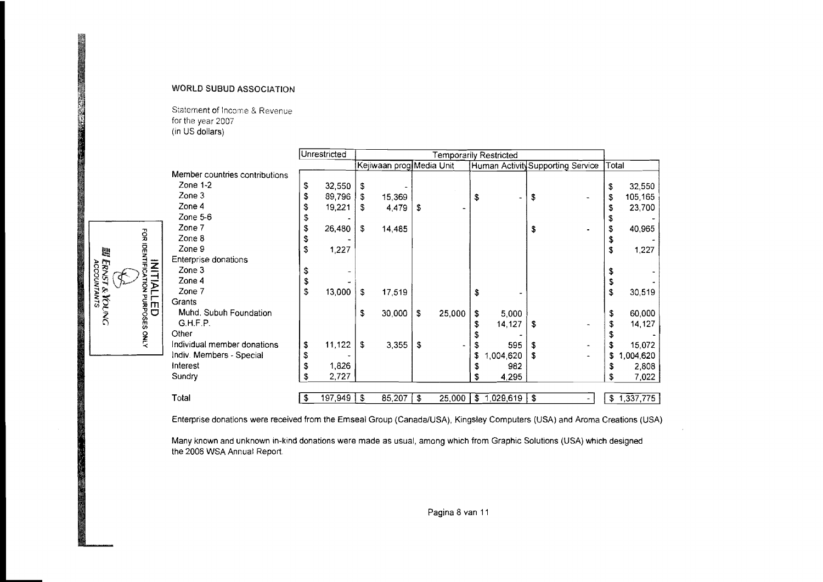Statement of Income & Revenue for the year 2007 (in US dollars)

|                                       |                    |                                |    | Unrestricted |      |                          |    |        |    | Temporarily Restricted            |      |       |           |
|---------------------------------------|--------------------|--------------------------------|----|--------------|------|--------------------------|----|--------|----|-----------------------------------|------|-------|-----------|
|                                       |                    |                                |    |              |      | Kejiwaan prog Media Unit |    |        |    | Human Activity Supporting Service |      | Total |           |
|                                       |                    | Member countries contributions |    |              |      |                          |    |        |    |                                   |      |       |           |
|                                       |                    | Zone $1-2$                     | \$ | 32,550       | \$   |                          |    |        |    |                                   |      | \$    | 32,550    |
|                                       |                    | Zone 3                         | \$ | 89,796       | \$   | 15,369                   |    |        | \$ |                                   | \$   |       | 105,165   |
|                                       |                    | Zone 4                         |    | 19,221       | \$   | 4,479                    | -5 |        |    |                                   |      |       | 23,700    |
|                                       |                    | Zone 5-6                       |    |              |      |                          |    |        |    |                                   |      |       |           |
|                                       |                    | Zone 7                         | \$ | 26,480       | \$   | 14,485                   |    |        |    |                                   |      |       | 40,965    |
|                                       |                    | Zone 8                         |    |              |      |                          |    |        |    |                                   |      |       |           |
| lar<br>Sa                             | <b>FOR IDENTIF</b> | Zone 9                         | \$ | 1,227        |      |                          |    |        |    |                                   |      | S     | 1,227     |
|                                       |                    | Enterprise donations           |    |              |      |                          |    |        |    |                                   |      |       |           |
| <b>ERNST &amp; YOL</b><br>ACCOUNTANTS | <b>INITIAL</b>     | Zone 3                         | S  |              |      |                          |    |        |    |                                   |      |       |           |
|                                       | <b>TION</b>        | Zone 4                         | \$ |              |      |                          |    |        |    |                                   |      | \$    |           |
|                                       |                    | Zone 7                         | \$ | 13,000       | S    | 17,519                   |    |        | \$ |                                   |      | \$    | 30,519    |
|                                       |                    | Grants                         |    |              |      |                          |    |        |    |                                   |      |       |           |
|                                       | LED<br>PURPOSES    | Muhd. Subuh Foundation         |    |              | \$   | 30,000                   | \$ | 25,000 | S  | 5,000                             |      |       | 60,000    |
| Š                                     |                    | G.H.F.P.                       |    |              |      |                          |    |        |    | 14,127                            | - \$ |       | 14,127    |
|                                       | <b>ATNO:</b>       | Other                          |    |              |      |                          |    |        |    |                                   |      |       |           |
|                                       |                    | Individual member donations    | \$ | 11,122       | \$   | $3,355$ \ \ \$           |    |        |    | 595                               |      |       | 15,072    |
|                                       |                    | Indiv. Members - Special       | \$ |              |      |                          |    |        | \$ | ,004,620                          | - \$ | s     | ,004,620  |
|                                       |                    | Interest                       | \$ | 1,826        |      |                          |    |        |    | 982                               |      |       | 2,808     |
|                                       |                    | Sundry                         | \$ | 2,727        |      |                          |    |        | S  | 4,295                             |      | \$.   | 7,022     |
|                                       |                    |                                |    |              |      |                          |    |        |    |                                   |      |       |           |
|                                       |                    | Total                          | S  | 197,949      | - \$ | 85,207                   | \$ |        |    | $25,000$   \$ 1,029,619   \$      |      | \$    | 1,337,775 |

Enterprise donations were received from the Emseal Group (Canada/USA), Kingsley Computers (USA) and Aroma Creations (USA)

Many known and unknown in-kind donations were made as usual, among which from Graphic Solutions (USA) which designed the 2006 WSA Annual Report.

Pagina 8 van 11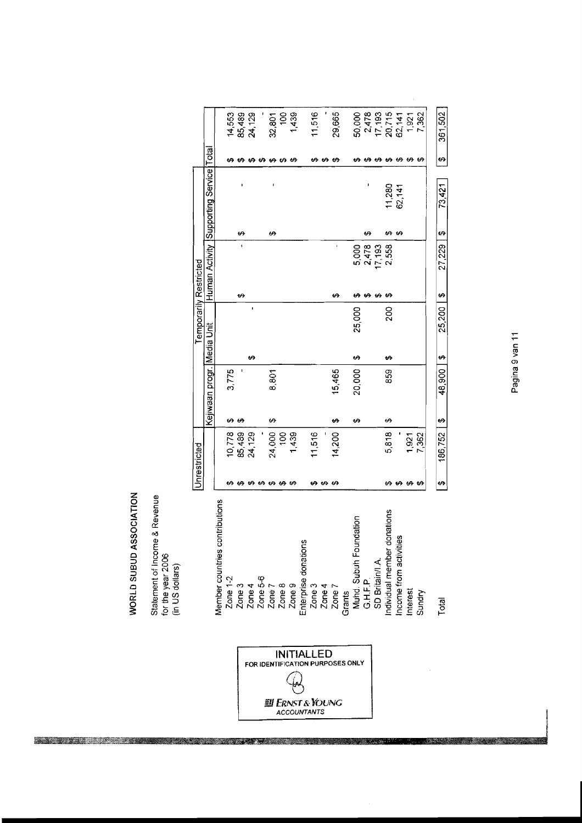Statement of Income & Revenue<br>for the year 2006<br>(in US dollars)

|                                                                                                                                     |    | Unrestricted |    |                            |    |        | Temporarily Restricted |                    |                                      |                        |
|-------------------------------------------------------------------------------------------------------------------------------------|----|--------------|----|----------------------------|----|--------|------------------------|--------------------|--------------------------------------|------------------------|
|                                                                                                                                     |    |              |    | Kejiwaan progr. Media Unit |    |        |                        |                    | Human Activity Supporting Service To |                        |
| Member countries contributions                                                                                                      |    |              |    |                            |    |        |                        |                    |                                      |                        |
| Zone $1-2$                                                                                                                          |    | 10,778       | 69 | 3,775                      |    |        |                        |                    |                                      | ↔                      |
|                                                                                                                                     | မာ | 85,489       | ക  |                            |    |        | Đ                      |                    | ï<br>ക                               | ↮                      |
|                                                                                                                                     |    | 24,129       |    |                            | ശ  | t      |                        |                    |                                      | ↮                      |
| $\frac{Z \text{one } 3}{Z \text{one } 4}$<br>$\frac{Z \text{one } 4}{Z \text{one } 7}$<br>$\frac{Z \text{one } 7}{Z \text{one } 8}$ |    |              |    |                            |    |        |                        |                    |                                      | ୫୨                     |
|                                                                                                                                     | ŧ۹ | 24,000       | 69 | 8,801                      |    |        |                        |                    | $\mathbf{I}$<br>မာ                   | ↮                      |
|                                                                                                                                     | ക  | 100          |    |                            |    |        |                        |                    |                                      | ŧA                     |
| Zone 9                                                                                                                              | ക  | 1,439        |    |                            |    |        |                        |                    |                                      | ₩                      |
| Enterprise donations                                                                                                                |    |              |    |                            |    |        |                        |                    |                                      |                        |
| Zone <sub>3</sub>                                                                                                                   | ശ  | 11,516       |    |                            |    |        |                        |                    |                                      | ↮                      |
| $Z$ one 4                                                                                                                           | Đ  |              |    |                            |    |        |                        |                    |                                      | $\boldsymbol{\varphi}$ |
| Zone 7                                                                                                                              | €A | 14,200       | ఱ  | 15,465                     |    |        | ക                      | $\bar{\mathbf{r}}$ |                                      | ୫୨                     |
| Grants                                                                                                                              |    |              |    |                            |    |        |                        |                    |                                      |                        |
| Muhd. Subuh Foundation                                                                                                              |    |              | ŧθ | 20,000                     | ŁĄ | 25,000 | မာ                     | 5,000              |                                      | ↮                      |
| GHFP.                                                                                                                               |    |              |    |                            |    |        | ٠A                     |                    | ı<br>ക                               | ₩                      |
| SD Britain/I.A.                                                                                                                     |    |              |    |                            |    |        | မာ                     | 2,478<br>17,193    |                                      | ₩                      |
| Individual member donations                                                                                                         | ↮  | 5,818        | ŧΑ | 859                        | မှ | 200    | 69                     | 2,558              | ıĄ                                   | ₩                      |
| Income from activities                                                                                                              | ↮  |              |    |                            |    |        |                        |                    | $11,280$<br>62,141<br>မာ             | ↮                      |
| Interest                                                                                                                            | ക  | 1,921        |    |                            |    |        |                        |                    |                                      | ↮                      |
| Sundry                                                                                                                              | မာ | 7,362        |    |                            |    |        |                        |                    |                                      | မာ                     |
|                                                                                                                                     |    |              |    |                            |    |        |                        |                    |                                      |                        |
| Total                                                                                                                               | ↮  | 186,752      | Ø  | 48,900                     | s  | 25,200 | မာ                     | 27,229             | 73,421<br>$\ddot{\bm{\theta}}$       | ↔                      |
|                                                                                                                                     |    |              |    |                            |    |        |                        |                    |                                      |                        |

 $\frac{11,516}{29,665}$ 

14,553<br>85,489<br>24,129

 $|\vec{v}|$ 

 $32,801$ <br> $100$ <br> $1,439$ 

361,502

 $50.000  
\n2.478  
\n7.193  
\n7.937  
\n62.141  
\n7.362  
\n7.362$ 

INITIALLED **EII ERNST & YOUNG**<br>ACCOUNTANTS

a a construction de la construction de la construction de la construction de la construction de la construction

Pagina 9 van 11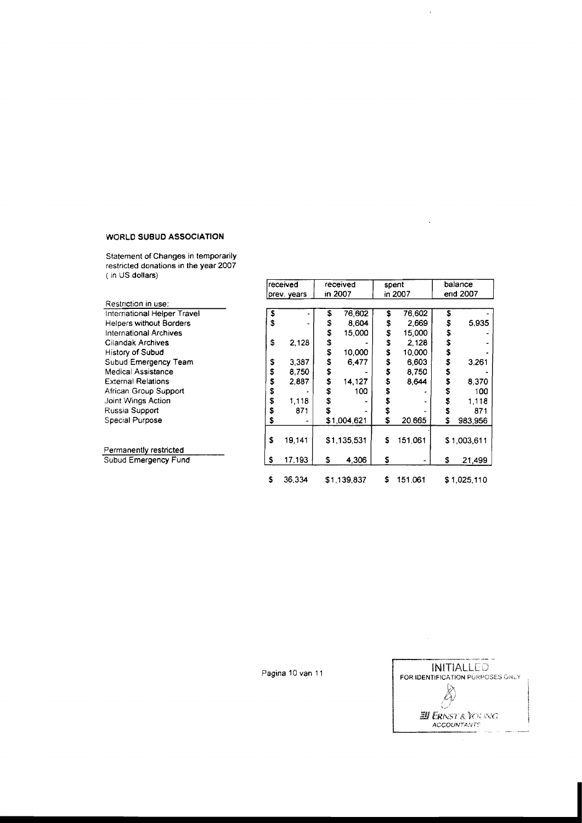Statement of Changes in temporarily restricted donations in the year **2007**  ( In **US** dollars)

|                                |    | received    |    | received    |    | spent   |    | balance     |
|--------------------------------|----|-------------|----|-------------|----|---------|----|-------------|
|                                |    | prev. years |    | in 2007     |    | in 2007 |    | end 2007    |
| Restriction in use:            |    |             |    |             |    |         |    |             |
| International Helper Travel    | \$ |             | S  | 76,602      | \$ | 76,602  | \$ |             |
| <b>Helpers without Borders</b> | \$ |             |    | 8,604       | \$ | 2,669   | \$ | 5,935       |
| International Archives         |    |             |    | 15,000      | \$ | 15,000  |    |             |
| <b>Cilandak Archives</b>       | \$ | 2,128       | \$ |             | \$ | 2.128   | S  |             |
| History of Subud               |    |             | \$ | 10,000      | \$ | 10,000  | \$ |             |
| Subud Emergency Team           | \$ | 3,387       | \$ | 6,477       | \$ | 6,603   | \$ | 3,261       |
| <b>Medical Assistance</b>      |    | 8,750       | \$ |             | \$ | 8.750   | \$ |             |
| <b>External Relations</b>      | \$ | 2,887       | s  | 14,127      | \$ | 8.644   | \$ | 8,370       |
| African Group Support          | s  |             | S  | 100         | \$ |         | \$ | 100         |
| Joint Wings Action             | \$ | 1,118       | \$ |             | \$ |         |    | 1,118       |
| Russia Support                 | \$ | 871         |    |             | \$ |         |    | 871         |
| Special Purpose                | \$ |             |    | \$1,004,621 | \$ | 20.665  | \$ | 983.956     |
|                                | \$ | 19,141      |    | \$1,135,531 | \$ | 151.061 |    | \$1,003,611 |
| Permanently restricted         |    |             |    |             |    |         |    |             |
| Subud Emergency Fund           | \$ | 17,193      | \$ | 4,306       | s  |         | \$ | 21,499      |
|                                | \$ | 36,334      |    | \$1,139,837 | \$ | 151,061 |    | \$1,025,110 |

Pagina 10 van 11

INITIALLED  $\hat{\mathbb{X}}$ **III ERNST & VOLING** 

 $\ddot{\phantom{a}}$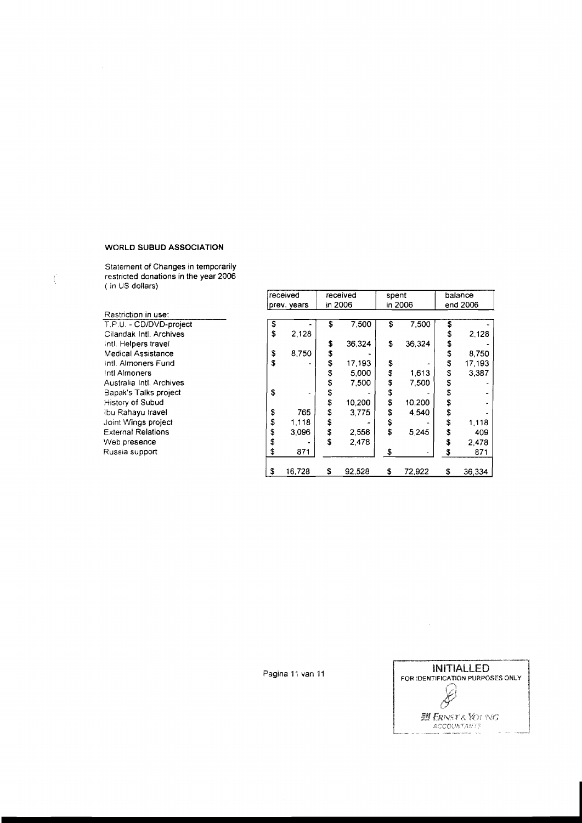Statement of Changes in temporarily restricted donations in the year 2006 ( in US dollars)

Restriction in use: T.P.U. - CDIDVD-project Cilandak Intl. Archives Intl. Helpers travel Medical Assistance Intl. Almoners Fund Inti Almoners Australia Intl. Archives Bapak's Talks project History of Subud Ibu Rahayu travel Joint Wings project External Relations Web presence Russia support

 $\int\limits_{-\infty}^{\infty}$ 

|    | received    |    | received | spent |         | balance      |
|----|-------------|----|----------|-------|---------|--------------|
|    | prev. years |    | in 2006  |       | in 2006 | end 2006     |
|    |             |    |          |       |         |              |
| \$ |             | \$ | 7,500    | \$    | 7,500   | \$           |
| \$ | 2,128       |    |          |       |         | \$<br>2,128  |
|    |             | \$ | 36,324   | \$    | 36,324  | \$           |
| \$ | 8,750       | \$ |          |       |         | \$<br>8,750  |
| \$ |             | \$ | 17,193   | \$    |         | \$<br>17,193 |
|    |             | \$ | 5,000    | \$    | 1,613   | \$<br>3,387  |
|    |             | \$ | 7.500    | \$    | 7,500   | \$           |
| s  |             | S  |          | \$    |         | \$           |
|    |             | \$ | 10,200   | \$    | 10,200  | \$           |
| \$ | 765         | \$ | 3,775    | \$    | 4.540   | \$           |
| \$ | 1,118       | \$ |          | \$    |         | \$<br>1,118  |
| \$ | 3.096       | \$ | 2,558    | \$    | 5.245   | \$<br>409    |
| \$ |             | S  | 2,478    |       |         | \$<br>2,478  |
| \$ | 871         |    |          | \$    |         | \$<br>871    |
|    |             |    |          |       |         |              |
| \$ | 16,728      | S  | 92.528   | \$    | 72,922  | \$<br>36,334 |

**INITIALLED** FOR IDENTIFICATION PURPOSES ONLY € **EII ERNST & YOU ING** 

Pagina 11 van 11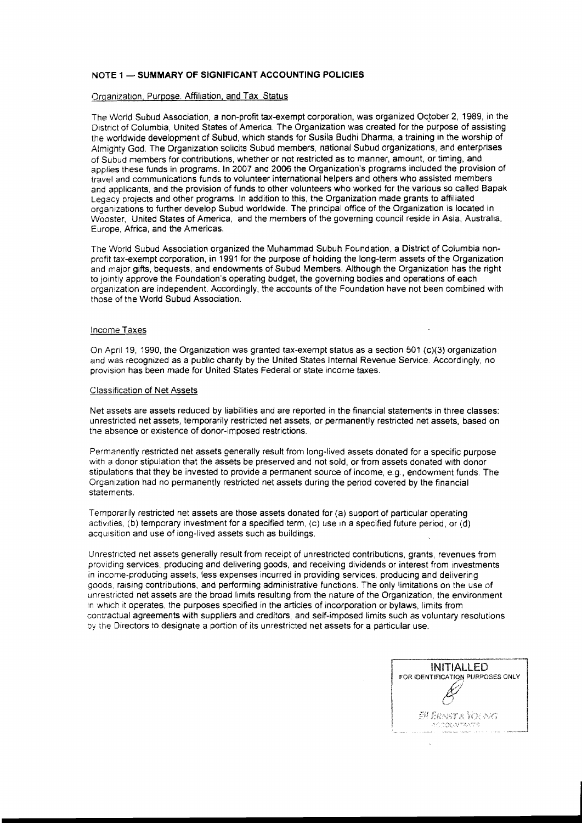## NOTE 1 - SUMMARY OF SIGNIFICANT ACCOUNTING POLICIES

#### Organization, Purpose. Affiliation, and Tax Status

The World Subud Association, a non-profit tax-exempt corporation, was organized October 2, 1989, in the District of Columbia, United States of America. The Organization was created for the purpose of assisting the worldwide development of Subud, which stands for Susila Budhi Dharma, a training in the worship of Almighty God. The Organization solicits Subud members, national Subud organizations, and enterprises of Subud members for contributions, whether or not restricted as to manner, amount, or timing, and applies these funds in programs. In 2007 and 2006 the Organization's programs included the provision of travel and communications funds to volunteer international helpers and others who assisted members and applicants, and the provision of funds to other volunteers who worked for the various so called Bapak Legacy projects and other programs. In addition to this, the Organization made grants to affiliated organizations to further develop Subud worldwide. The principal office of the Organization is located in Wooster, United States of America, and the members of the governing council reside in Asia, Australia, Europe, Africa, and the Americas.

Tire World Subud Association organized the Muhammad Subuh Foundation, a District of Columbia nonprofit tax-exempt corporation, in 1991 for the purpose of holding the long-term assets of the Organization and major gifts, bequests, and endowments of Subud Members. Although the Organization has the right to jolntly approve the Foundation's operating budget, the governing bodies and operations of each organization are independent. Accordingly, the accounts of the Foundation have not been combined with those of the World Subud Association.

### Income Taxes

On April 19, 1990, the Organization was granted tax-exempt status as a section 501 (c)(3) organization and was recognized as a public charity by the United States Internal Revenue Service. Accordingly, no provision has been made for United States Federal or state income taxes.

#### Classification of Net Assets

Net assets are assets reduced by liabilities and are reported in the financial statements in three classes: unrestricted net assets, temporarily restricted net assets, or permanently restricted net assets, based on the absence or existence of donor-imposed restrictions.

Permanently restricted net assets generally result from long-lived assets donated for a specific purpose with a donor stipulation that the assets be preserved and not sold, or from assets donated with donor stipulations that they be invested to provide a permanent source of income, e.g., endowment funds. The Organization had no permanently restricted net assets during the period covered by the financial statements.

Temporarily restricted net assets are those assets donated for (a) support of particular operating activities, (b) temporary investment for a specified term, (c) use in a specified future period, or  $(d)$ acqursition and use of long-lived assets such as buildings.

Unrestricted net assets generally result from receipt of unrestricted contributions, grants, revenues from providing services, producing and delivering goods, and receiving dividends or interest from investments in income-producing assets, less expenses incurred in providing services, producing and delivering goods, raising contributions, and performing administrative functions. The only limitations on the use of unrestricted net assets are the broad limits resulting from the nature of the Organization, the environment in which it operates, the purposes specified in the articles of incorporation or bylaws, limits from contractual agreements with suppliers and creditors, and self-imposed limits such as voluntary resolutions by the Directors to designate a portion of its unrestricted net assets for a particular use.

" **INITIALLED FOR IDENTIFICATION PURPOSES ONLY** : **L~V** 1 i~".... **#! ERNST & `#`)**&&G ';>:..v - :" " .: ., ", . ...... . . .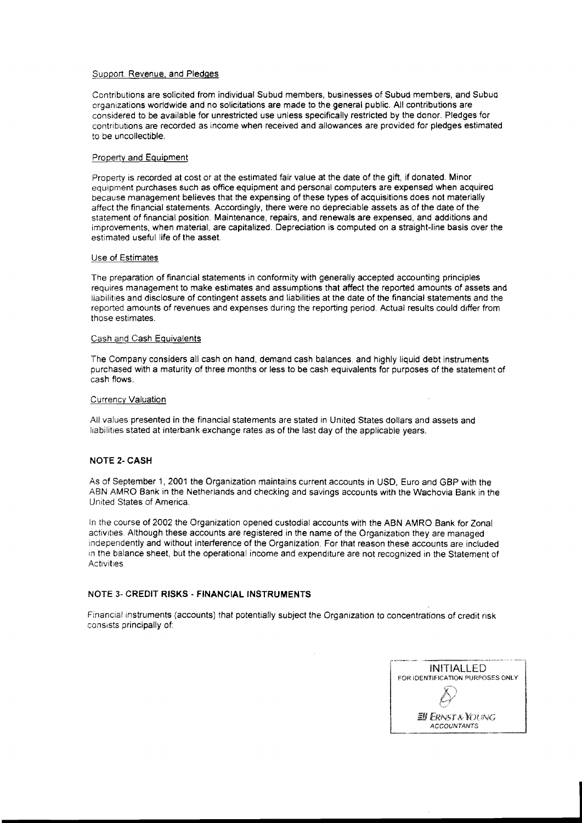## Support. Revenue, and Pledges

Contributions are solicited from individual Subud members, businesses of Subud members, and Subud organizations worldwide and no solicitations are made to the general public. All contributions are considered to be available for unrestricted use unless specifically restricted by the donor. Pledges for contributions are recorded as income when received and allowances are provided for pledges estimated to be uncollectible.

#### Property and Equipment

Property is recorded at cost or at the estimated fair value at the date of the gift, if donated. Minor equipment purchases such as office equipment and personal computers are expensed when acquired because management believes that the expensing of these types of acquisitions does not materially affect the financial statements. Accordingly, there were no depreciable assets as of the date of the. statement of financial position. Maintenance, repairs, and renewals are expensed, and additions and improvements, when material, are capitalized. Depreciation is computed on a straight-line basis over the estimated useful life of the asset.

#### Use of Estimates

The preparation of financial statements in conformity with generally accepted accounting principles requires management to make estimates and assumptions that affect the reported amounts of assets and liabilities and disclosure of contingent assets and liabilities at the date of the financial statements and the reported amounts of revenues and expenses during the reporting period. Actual results could differ from those estimates.

### Cash and Cash Equivalents

The Company considers all cash on hand, demand cash balances, and highly liquid debt instruments purchased with a maturity of three months or less to be cash equivalents for purposes of the statement of cash flows.

#### Currency Valuation

All values presented in the financial statements are stated in United States dollars and assets and liabilities stated at interbank exchange rates as of the last day of the applicable years.

### NOTE 2- CASH

As of September 1, 2001 the Organization maintains current accounts in USD, Euro and GBP with the ABN AMRO Bank in the Netherlands and checking and savings accounts with the Wachovia Bank in the United States of America.

In the course of 2002 the Organization opened custodial accounts with the ABN AMRO Bank for Zonal activities. Although these accounts are registered in the name of the Organization they are managed independently and without interference of the Organization. For that reason these accounts are included in the balance sheet, but the operational income and expenditure are not recognized in the Statement of **Activities** 

### NOTE 3- CREDIT RISKS - FINANCIAL INSTRUMENTS

Financial instruments (accounts) that potentially subject the Organization to concentrations of credit rlsk consists principally of: